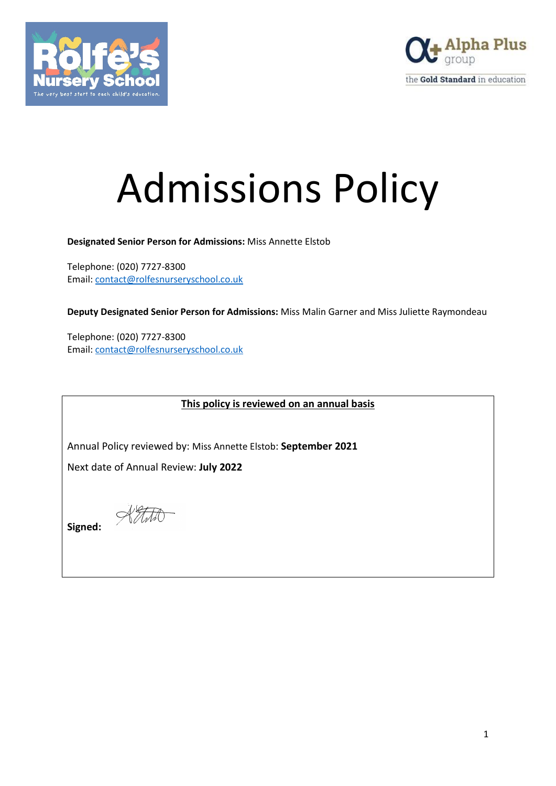



# Admissions Policy

**Designated Senior Person for Admissions:** Miss Annette Elstob

Telephone: (020) 7727-8300 Email: [contact@rolfesnurseryschool.co.uk](mailto:contact@rolfesnurseryschool.co.uk)

**Deputy Designated Senior Person for Admissions:** Miss Malin Garner and Miss Juliette Raymondeau

Telephone: (020) 7727-8300 Email: [contact@rolfesnurseryschool.co.uk](mailto:contact@rolfesnurseryschool.co.uk)

**This policy is reviewed on an annual basis**

Annual Policy reviewed by: Miss Annette Elstob: **September 2021**

Next date of Annual Review: **July 2022**

 $\mathcal{H}\mathcal{H}\mathcal{H}$ 

**Signed:**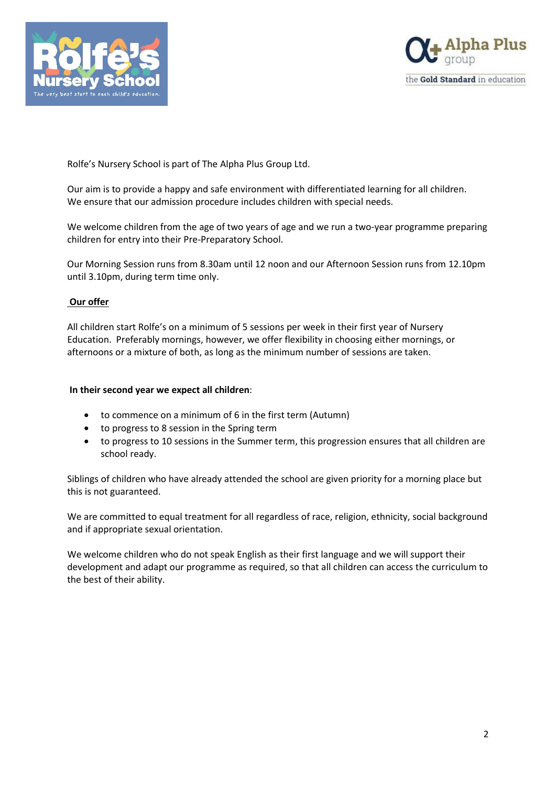



Rolfe's Nursery School is part of The Alpha Plus Group Ltd.

Our aim is to provide a happy and safe environment with differentiated learning for all children. We ensure that our admission procedure includes children with special needs.

We welcome children from the age of two years of age and we run a two-year programme preparing children for entry into their Pre-Preparatory School.

Our Morning Session runs from 8.30am until 12 noon and our Afternoon Session runs from 12.10pm until 3.10pm, during term time only.

### **Our offer**

All children start Rolfe's on a minimum of 5 sessions per week in their first year of Nursery Education. Preferably mornings, however, we offer flexibility in choosing either mornings, or afternoons or a mixture of both, as long as the minimum number of sessions are taken.

#### **In their second year we expect all children**:

- to commence on a minimum of 6 in the first term (Autumn)
- to progress to 8 session in the Spring term
- to progress to 10 sessions in the Summer term, this progression ensures that all children are school ready.

Siblings of children who have already attended the school are given priority for a morning place but this is not guaranteed.

We are committed to equal treatment for all regardless of race, religion, ethnicity, social background and if appropriate sexual orientation.

We welcome children who do not speak English as their first language and we will support their development and adapt our programme as required, so that all children can access the curriculum to the best of their ability.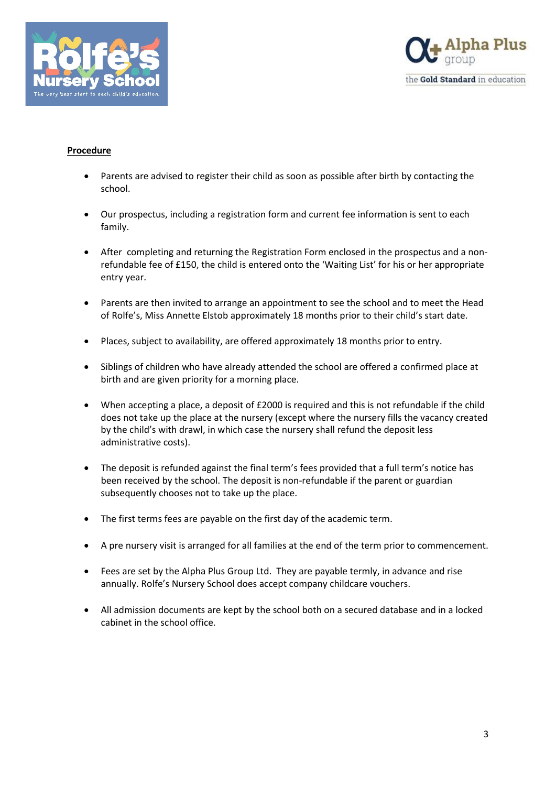



## **Procedure**

- Parents are advised to register their child as soon as possible after birth by contacting the school.
- Our prospectus, including a registration form and current fee information is sent to each family.
- After completing and returning the Registration Form enclosed in the prospectus and a nonrefundable fee of £150, the child is entered onto the 'Waiting List' for his or her appropriate entry year.
- Parents are then invited to arrange an appointment to see the school and to meet the Head of Rolfe's, Miss Annette Elstob approximately 18 months prior to their child's start date.
- Places, subject to availability, are offered approximately 18 months prior to entry.
- Siblings of children who have already attended the school are offered a confirmed place at birth and are given priority for a morning place.
- When accepting a place, a deposit of £2000 is required and this is not refundable if the child does not take up the place at the nursery (except where the nursery fills the vacancy created by the child's with drawl, in which case the nursery shall refund the deposit less administrative costs).
- The deposit is refunded against the final term's fees provided that a full term's notice has been received by the school. The deposit is non-refundable if the parent or guardian subsequently chooses not to take up the place.
- The first terms fees are payable on the first day of the academic term.
- A pre nursery visit is arranged for all families at the end of the term prior to commencement.
- Fees are set by the Alpha Plus Group Ltd. They are payable termly, in advance and rise annually. Rolfe's Nursery School does accept company childcare vouchers.
- All admission documents are kept by the school both on a secured database and in a locked cabinet in the school office.